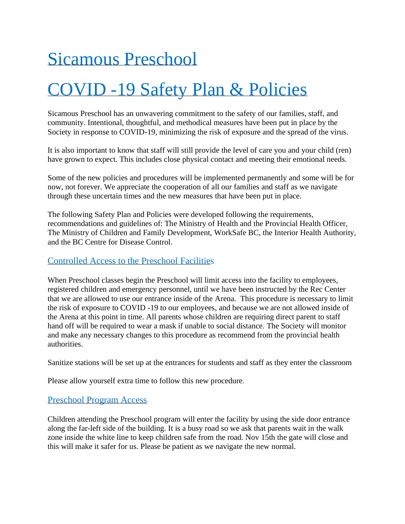# Sicamous Preschool

# COVID -19 Safety Plan & Policies

Sicamous Preschool has an unwavering commitment to the safety of our families, staff, and community. Intentional, thoughtful, and methodical measures have been put in place by the Society in response to COVID-19, minimizing the risk of exposure and the spread of the virus.

It is also important to know that staff will still provide the level of care you and your child (ren) have grown to expect. This includes close physical contact and meeting their emotional needs.

Some of the new policies and procedures will be implemented permanently and some will be for now, not forever. We appreciate the cooperation of all our families and staff as we navigate through these uncertain times and the new measures that have been put in place.

The following Safety Plan and Policies were developed following the requirements, recommendations and guidelines of: The Ministry of Health and the Provincial Health Officer, The Ministry of Children and Family Development, WorkSafe BC, the Interior Health Authority, and the BC Centre for Disease Control.

### Controlled Access to the Preschool Facilities

When Preschool classes begin the Preschool will limit access into the facility to employees, registered children and emergency personnel, until we have been instructed by the Rec Center that we are allowed to use our entrance inside of the Arena. This procedure is necessary to limit the risk of exposure to COVID -19 to our employees, and because we are not allowed inside of the Arena at this point in time. All parents whose children are requiring direct parent to staff hand off will be required to wear a mask if unable to social distance. The Society will monitor and make any necessary changes to this procedure as recommend from the provincial health authorities.

Sanitize stations will be set up at the entrances for students and staff as they enter the classroom

Please allow yourself extra time to follow this new procedure.

## Preschool Program Access

Children attending the Preschool program will enter the facility by using the side door entrance along the far-left side of the building. It is a busy road so we ask that parents wait in the walk zone inside the white line to keep children safe from the road. Nov 15th the gate will close and this will make it safer for us. Please be patient as we navigate the new normal.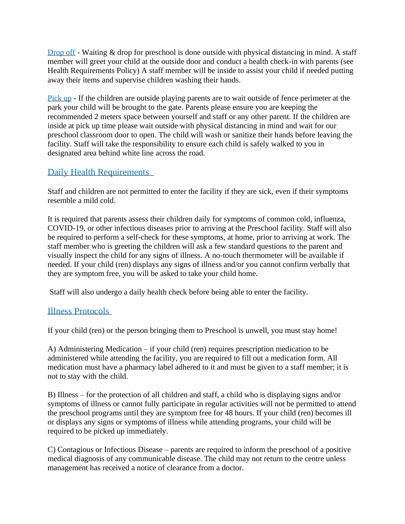Drop off - Waiting & drop for preschool is done outside with physical distancing in mind. A staff member will greet your child at the outside door and conduct a health check-in with parents (see Health Requirements Policy) A staff member will be inside to assist your child if needed putting away their items and supervise children washing their hands.

Pick up - If the children are outside playing parents are to wait outside of fence perimeter at the park your child will be brought to the gate. Parents please ensure you are keeping the recommended 2 meters space between yourself and staff or any other parent. If the children are inside at pick up time please wait outside with physical distancing in mind and wait for our preschool classroom door to open. The child will wash or sanitize their hands before leaving the facility. Staff will take the responsibility to ensure each child is safely walked to you in designated area behind white line across the road.

# Daily Health Requirements

Staff and children are not permitted to enter the facility if they are sick, even if their symptoms resemble a mild cold.

It is required that parents assess their children daily for symptoms of common cold, influenza, COVID-19, or other infectious diseases prior to arriving at the Preschool facility. Staff will also be required to perform a self-check for these symptoms, at home, prior to arriving at work. The staff member who is greeting the children will ask a few standard questions to the parent and visually inspect the child for any signs of illness. A no-touch thermometer will be available if needed. If your child (ren) displays any signs of illness and/or you cannot confirm verbally that they are symptom free, you will be asked to take your child home.

Staff will also undergo a daily health check before being able to enter the facility.

## Illness Protocols

If your child (ren) or the person bringing them to Preschool is unwell, you must stay home!

A) Administering Medication – if your child (ren) requires prescription medication to be administered while attending the facility, you are required to fill out a medication form. All medication must have a pharmacy label adhered to it and must be given to a staff member; it is not to stay with the child.

B) Illness – for the protection of all children and staff, a child who is displaying signs and/or symptoms of illness or cannot fully participate in regular activities will not be permitted to attend the preschool programs until they are symptom free for 48 hours. If your child (ren) becomes ill or displays any signs or symptoms of illness while attending programs, your child will be required to be picked up immediately.

C) Contagious or Infectious Disease – parents are required to inform the preschool of a positive medical diagnosis of any communicable disease. The child may not return to the centre unless management has received a notice of clearance from a doctor.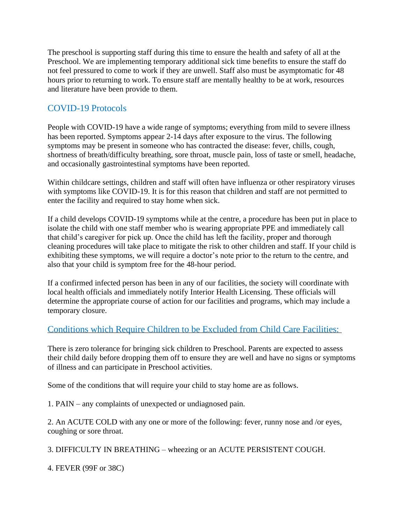The preschool is supporting staff during this time to ensure the health and safety of all at the Preschool. We are implementing temporary additional sick time benefits to ensure the staff do not feel pressured to come to work if they are unwell. Staff also must be asymptomatic for 48 hours prior to returning to work. To ensure staff are mentally healthy to be at work, resources and literature have been provide to them.

# COVID-19 Protocols

People with COVID-19 have a wide range of symptoms; everything from mild to severe illness has been reported. Symptoms appear 2-14 days after exposure to the virus. The following symptoms may be present in someone who has contracted the disease: fever, chills, cough, shortness of breath/difficulty breathing, sore throat, muscle pain, loss of taste or smell, headache, and occasionally gastrointestinal symptoms have been reported.

Within childcare settings, children and staff will often have influenza or other respiratory viruses with symptoms like COVID-19. It is for this reason that children and staff are not permitted to enter the facility and required to stay home when sick.

If a child develops COVID-19 symptoms while at the centre, a procedure has been put in place to isolate the child with one staff member who is wearing appropriate PPE and immediately call that child's caregiver for pick up. Once the child has left the facility, proper and thorough cleaning procedures will take place to mitigate the risk to other children and staff. If your child is exhibiting these symptoms, we will require a doctor's note prior to the return to the centre, and also that your child is symptom free for the 48-hour period.

If a confirmed infected person has been in any of our facilities, the society will coordinate with local health officials and immediately notify Interior Health Licensing. These officials will determine the appropriate course of action for our facilities and programs, which may include a temporary closure.

## Conditions which Require Children to be Excluded from Child Care Facilities:

There is zero tolerance for bringing sick children to Preschool. Parents are expected to assess their child daily before dropping them off to ensure they are well and have no signs or symptoms of illness and can participate in Preschool activities.

Some of the conditions that will require your child to stay home are as follows.

1. PAIN – any complaints of unexpected or undiagnosed pain.

2. An ACUTE COLD with any one or more of the following: fever, runny nose and /or eyes, coughing or sore throat.

3. DIFFICULTY IN BREATHING – wheezing or an ACUTE PERSISTENT COUGH.

4. FEVER (99F or 38C)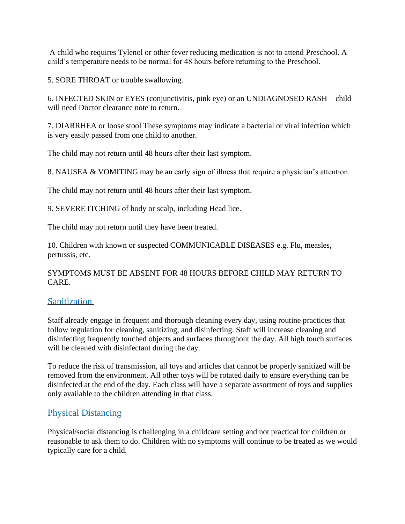A child who requires Tylenol or other fever reducing medication is not to attend Preschool. A child's temperature needs to be normal for 48 hours before returning to the Preschool.

5. SORE THROAT or trouble swallowing.

6. INFECTED SKIN or EYES (conjunctivitis, pink eye) or an UNDIAGNOSED RASH – child will need Doctor clearance note to return.

7. DIARRHEA or loose stool These symptoms may indicate a bacterial or viral infection which is very easily passed from one child to another.

The child may not return until 48 hours after their last symptom.

8. NAUSEA & VOMITING may be an early sign of illness that require a physician's attention.

The child may not return until 48 hours after their last symptom.

9. SEVERE ITCHING of body or scalp, including Head lice.

The child may not return until they have been treated.

10. Children with known or suspected COMMUNICABLE DISEASES e.g. Flu, measles, pertussis, etc.

SYMPTOMS MUST BE ABSENT FOR 48 HOURS BEFORE CHILD MAY RETURN TO CARE.

#### **Sanitization**

Staff already engage in frequent and thorough cleaning every day, using routine practices that follow regulation for cleaning, sanitizing, and disinfecting. Staff will increase cleaning and disinfecting frequently touched objects and surfaces throughout the day. All high touch surfaces will be cleaned with disinfectant during the day.

To reduce the risk of transmission, all toys and articles that cannot be properly sanitized will be removed from the environment. All other toys will be rotated daily to ensure everything can be disinfected at the end of the day. Each class will have a separate assortment of toys and supplies only available to the children attending in that class.

#### Physical Distancing

Physical/social distancing is challenging in a childcare setting and not practical for children or reasonable to ask them to do. Children with no symptoms will continue to be treated as we would typically care for a child.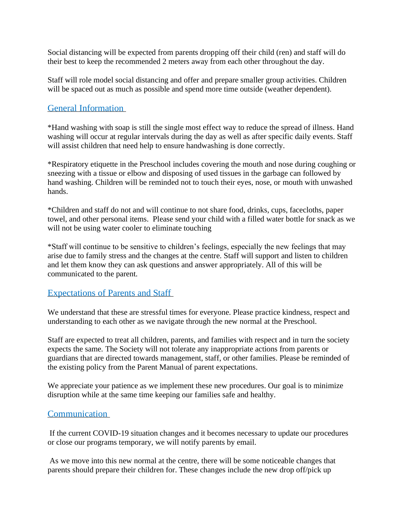Social distancing will be expected from parents dropping off their child (ren) and staff will do their best to keep the recommended 2 meters away from each other throughout the day.

Staff will role model social distancing and offer and prepare smaller group activities. Children will be spaced out as much as possible and spend more time outside (weather dependent).

### General Information

\*Hand washing with soap is still the single most effect way to reduce the spread of illness. Hand washing will occur at regular intervals during the day as well as after specific daily events. Staff will assist children that need help to ensure handwashing is done correctly.

\*Respiratory etiquette in the Preschool includes covering the mouth and nose during coughing or sneezing with a tissue or elbow and disposing of used tissues in the garbage can followed by hand washing. Children will be reminded not to touch their eyes, nose, or mouth with unwashed hands.

\*Children and staff do not and will continue to not share food, drinks, cups, facecloths, paper towel, and other personal items. Please send your child with a filled water bottle for snack as we will not be using water cooler to eliminate touching

\*Staff will continue to be sensitive to children's feelings, especially the new feelings that may arise due to family stress and the changes at the centre. Staff will support and listen to children and let them know they can ask questions and answer appropriately. All of this will be communicated to the parent.

#### Expectations of Parents and Staff

We understand that these are stressful times for everyone. Please practice kindness, respect and understanding to each other as we navigate through the new normal at the Preschool.

Staff are expected to treat all children, parents, and families with respect and in turn the society expects the same. The Society will not tolerate any inappropriate actions from parents or guardians that are directed towards management, staff, or other families. Please be reminded of the existing policy from the Parent Manual of parent expectations.

We appreciate your patience as we implement these new procedures. Our goal is to minimize disruption while at the same time keeping our families safe and healthy.

## Communication

If the current COVID-19 situation changes and it becomes necessary to update our procedures or close our programs temporary, we will notify parents by email.

As we move into this new normal at the centre, there will be some noticeable changes that parents should prepare their children for. These changes include the new drop off/pick up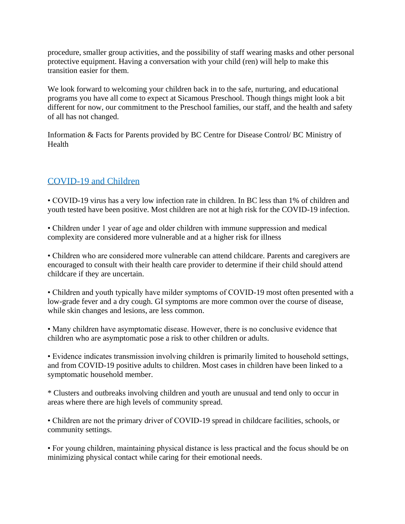procedure, smaller group activities, and the possibility of staff wearing masks and other personal protective equipment. Having a conversation with your child (ren) will help to make this transition easier for them.

We look forward to welcoming your children back in to the safe, nurturing, and educational programs you have all come to expect at Sicamous Preschool. Though things might look a bit different for now, our commitment to the Preschool families, our staff, and the health and safety of all has not changed.

Information & Facts for Parents provided by BC Centre for Disease Control/ BC Ministry of Health

## COVID-19 and Children

• COVID-19 virus has a very low infection rate in children. In BC less than 1% of children and youth tested have been positive. Most children are not at high risk for the COVID-19 infection.

• Children under 1 year of age and older children with immune suppression and medical complexity are considered more vulnerable and at a higher risk for illness

• Children who are considered more vulnerable can attend childcare. Parents and caregivers are encouraged to consult with their health care provider to determine if their child should attend childcare if they are uncertain.

• Children and youth typically have milder symptoms of COVID-19 most often presented with a low-grade fever and a dry cough. GI symptoms are more common over the course of disease, while skin changes and lesions, are less common.

• Many children have asymptomatic disease. However, there is no conclusive evidence that children who are asymptomatic pose a risk to other children or adults.

• Evidence indicates transmission involving children is primarily limited to household settings, and from COVID-19 positive adults to children. Most cases in children have been linked to a symptomatic household member.

\* Clusters and outbreaks involving children and youth are unusual and tend only to occur in areas where there are high levels of community spread.

• Children are not the primary driver of COVID-19 spread in childcare facilities, schools, or community settings.

• For young children, maintaining physical distance is less practical and the focus should be on minimizing physical contact while caring for their emotional needs.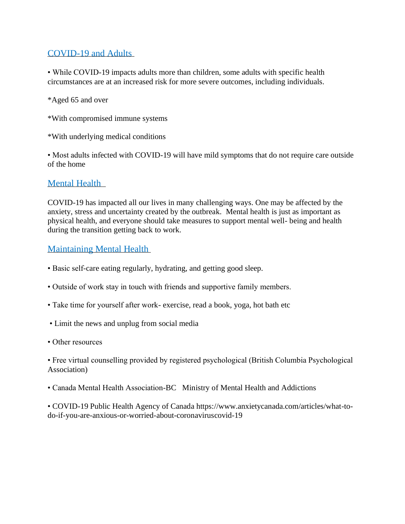## COVID-19 and Adults

• While COVID-19 impacts adults more than children, some adults with specific health circumstances are at an increased risk for more severe outcomes, including individuals.

\*Aged 65 and over

- \*With compromised immune systems
- \*With underlying medical conditions

• Most adults infected with COVID-19 will have mild symptoms that do not require care outside of the home

#### Mental Health

COVID-19 has impacted all our lives in many challenging ways. One may be affected by the anxiety, stress and uncertainty created by the outbreak. Mental health is just as important as physical health, and everyone should take measures to support mental well- being and health during the transition getting back to work.

#### Maintaining Mental Health

- Basic self-care eating regularly, hydrating, and getting good sleep.
- Outside of work stay in touch with friends and supportive family members.
- Take time for yourself after work- exercise, read a book, yoga, hot bath etc
- Limit the news and unplug from social media
- Other resources

• Free virtual counselling provided by registered psychological (British Columbia Psychological Association)

• Canada Mental Health Association-BC Ministry of Mental Health and Addictions

• COVID-19 Public Health Agency of Canada https://www.anxietycanada.com/articles/what-todo-if-you-are-anxious-or-worried-about-coronaviruscovid-19